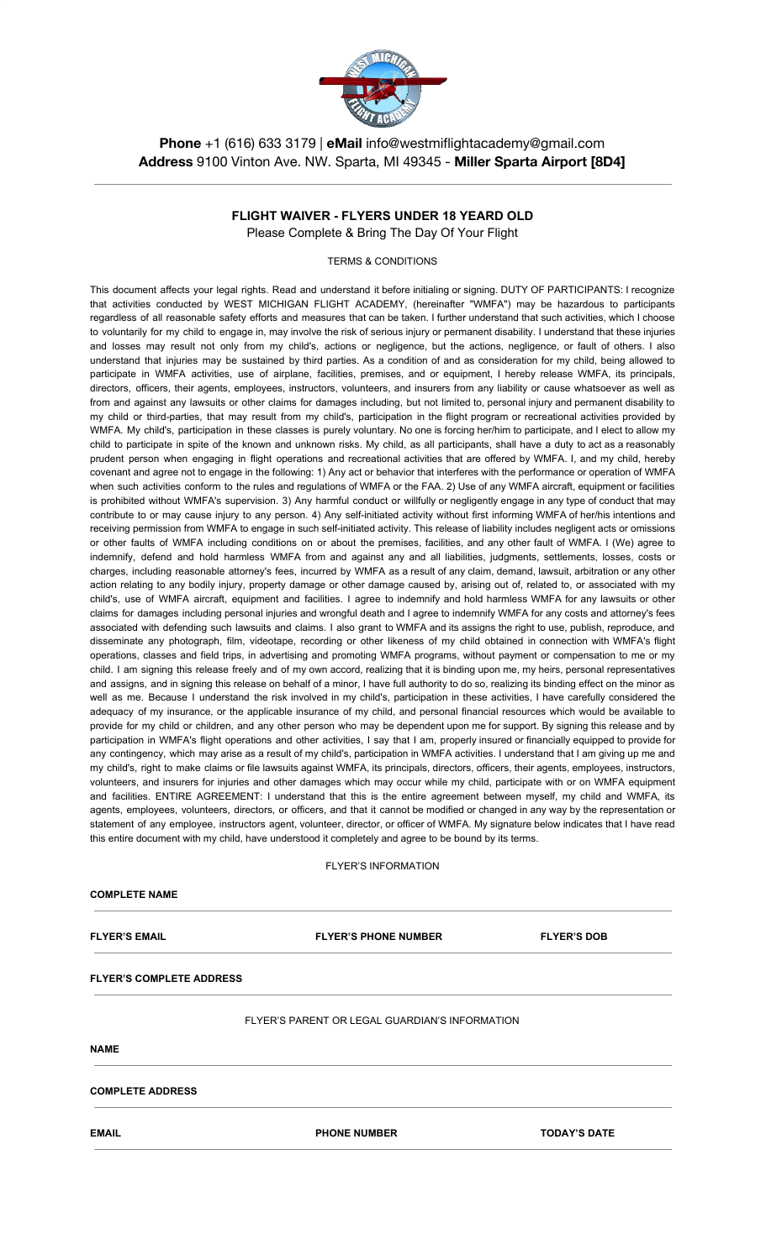

**Phone** +1 (616) 633 3179 | **eMail** info@westmiflightacademy@gmail.com **Address** 9100 Vinton Ave. NW. Sparta, MI 49345 - **Miller Sparta Airport [8D4]**

# **FLIGHT WAIVER - FLYERS UNDER 18 YEARD OLD**

Please Complete & Bring The Day Of Your Flight

TERMS & CONDITIONS

This document affects your legal rights. Read and understand it before initialing or signing. DUTY OF PARTICIPANTS: I recognize that activities conducted by WEST MICHIGAN FLIGHT ACADEMY, (hereinafter "WMFA") may be hazardous to participants regardless of all reasonable safety efforts and measures that can be taken. I further understand that such activities, which I choose to voluntarily for my child to engage in, may involve the risk of serious injury or permanent disability. I understand that these injuries and losses may result not only from my child's, actions or negligence, but the actions, negligence, or fault of others. I also understand that injuries may be sustained by third parties. As a condition of and as consideration for my child, being allowed to participate in WMFA activities, use of airplane, facilities, premises, and or equipment, I hereby release WMFA, its principals, directors, officers, their agents, employees, instructors, volunteers, and insurers from any liability or cause whatsoever as well as from and against any lawsuits or other claims for damages including, but not limited to, personal injury and permanent disability to my child or third-parties, that may result from my child's, participation in the flight program or recreational activities provided by WMFA. My child's, participation in these classes is purely voluntary. No one is forcing her/him to participate, and I elect to allow my child to participate in spite of the known and unknown risks. My child, as all participants, shall have a duty to act as a reasonably prudent person when engaging in flight operations and recreational activities that are offered by WMFA. I, and my child, hereby covenant and agree not to engage in the following: 1) Any act or behavior that interferes with the performance or operation of WMFA when such activities conform to the rules and regulations of WMFA or the FAA. 2) Use of any WMFA aircraft, equipment or facilities is prohibited without WMFA's supervision. 3) Any harmful conduct or willfully or negligently engage in any type of conduct that may contribute to or may cause injury to any person. 4) Any self-initiated activity without first informing WMFA of her/his intentions and receiving permission from WMFA to engage in such self-initiated activity. This release of liability includes negligent acts or omissions or other faults of WMFA including conditions on or about the premises, facilities, and any other fault of WMFA. I (We) agree to indemnify, defend and hold harmless WMFA from and against any and all liabilities, judgments, settlements, losses, costs or charges, including reasonable attorney's fees, incurred by WMFA as a result of any claim, demand, lawsuit, arbitration or any other action relating to any bodily injury, property damage or other damage caused by, arising out of, related to, or associated with my child's, use of WMFA aircraft, equipment and facilities. I agree to indemnify and hold harmless WMFA for any lawsuits or other claims for damages including personal injuries and wrongful death and I agree to indemnify WMFA for any costs and attorney's fees associated with defending such lawsuits and claims. I also grant to WMFA and its assigns the right to use, publish, reproduce, and disseminate any photograph, film, videotape, recording or other likeness of my child obtained in connection with WMFA's flight operations, classes and field trips, in advertising and promoting WMFA programs, without payment or compensation to me or my child. I am signing this release freely and of my own accord, realizing that it is binding upon me, my heirs, personal representatives and assigns, and in signing this release on behalf of a minor, I have full authority to do so, realizing its binding effect on the minor as well as me. Because I understand the risk involved in my child's, participation in these activities, I have carefully considered the adequacy of my insurance, or the applicable insurance of my child, and personal financial resources which would be available to provide for my child or children, and any other person who may be dependent upon me for support. By signing this release and by participation in WMFA's flight operations and other activities, I say that I am, properly insured or financially equipped to provide for any contingency, which may arise as a result of my child's, participation in WMFA activities. I understand that I am giving up me and my child's, right to make claims or file lawsuits against WMFA, its principals, directors, officers, their agents, employees, instructors, volunteers, and insurers for injuries and other damages which may occur while my child, participate with or on WMFA equipment and facilities. ENTIRE AGREEMENT: I understand that this is the entire agreement between myself, my child and WMFA, its agents, employees, volunteers, directors, or officers, and that it cannot be modified or changed in any way by the representation or statement of any employee, instructors agent, volunteer, director, or officer of WMFA. My signature below indicates that I have read this entire document with my child, have understood it completely and agree to be bound by its terms.

FLYER'S INFORMATION

## **COMPLETE NAME**

**FLYER'S EMAIL FLYER'S PHONE NUMBER FLYER'S DOB**

### **FLYER'S COMPLETE ADDRESS**

### FLYER'S PARENT OR LEGAL GUARDIAN'S INFORMATION

**NAME**

**COMPLETE ADDRESS**

**EMAIL PHONE NUMBER TODAY'S DATE**